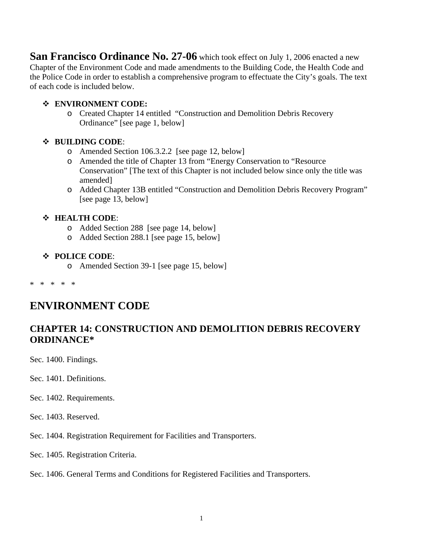**San Francisco Ordinance No. 27-06** which took effect on July 1, 2006 enacted a new Chapter of the Environment Code and made amendments to the Building Code, the Health Code and the Police Code in order to establish a comprehensive program to effectuate the City's goals. The text of each code is included below.

#### **ENVIRONMENT CODE:**

o Created Chapter 14 entitled "Construction and Demolition Debris Recovery Ordinance" [see page 1, below]

# **BUILDING CODE**:

- o Amended Section 106.3.2.2 [see page 12, below]
- o Amended the title of Chapter 13 from "Energy Conservation to "Resource Conservation" [The text of this Chapter is not included below since only the title was amended]
- o Added Chapter 13B entitled "Construction and Demolition Debris Recovery Program" [see page 13, below]

# **HEALTH CODE**:

- o Added Section 288 [see page 14, below]
- o Added Section 288.1 [see page 15, below]

## **POLICE CODE**:

o Amended Section 39-1 [see page 15, below]

\* \* \* \* \*

# **ENVIRONMENT CODE**

# **CHAPTER 14: CONSTRUCTION AND DEMOLITION DEBRIS RECOVERY ORDINANCE\***

Sec. 1400. Findings.

Sec. 1401. Definitions.

Sec. 1402. Requirements.

Sec. 1403. Reserved.

Sec. 1404. Registration Requirement for Facilities and Transporters.

Sec. 1405. Registration Criteria.

#### Sec. 1406. General Terms and Conditions for Registered Facilities and Transporters.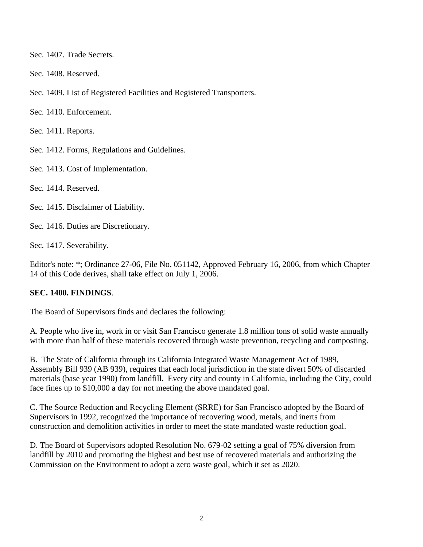Sec. 1407. Trade Secrets.

Sec. 1408. Reserved.

Sec. 1409. List of Registered Facilities and Registered Transporters.

Sec. 1410. Enforcement.

Sec. 1411. Reports.

Sec. 1412. Forms, Regulations and Guidelines.

Sec. 1413. Cost of Implementation.

Sec. 1414. Reserved.

Sec. 1415. Disclaimer of Liability.

Sec. 1416. Duties are Discretionary.

Sec. 1417. Severability.

Editor's note: \*; Ordinance 27-06, File No. 051142, Approved February 16, 2006, from which Chapter 14 of this Code derives, shall take effect on July 1, 2006.

#### **SEC. 1400. FINDINGS**.

The Board of Supervisors finds and declares the following:

A. People who live in, work in or visit San Francisco generate 1.8 million tons of solid waste annually with more than half of these materials recovered through waste prevention, recycling and composting.

B. The State of California through its California Integrated Waste Management Act of 1989, Assembly Bill 939 (AB 939), requires that each local jurisdiction in the state divert 50% of discarded materials (base year 1990) from landfill. Every city and county in California, including the City, could face fines up to \$10,000 a day for not meeting the above mandated goal.

C. The Source Reduction and Recycling Element (SRRE) for San Francisco adopted by the Board of Supervisors in 1992, recognized the importance of recovering wood, metals, and inerts from construction and demolition activities in order to meet the state mandated waste reduction goal.

D. The Board of Supervisors adopted Resolution No. 679-02 setting a goal of 75% diversion from landfill by 2010 and promoting the highest and best use of recovered materials and authorizing the Commission on the Environment to adopt a zero waste goal, which it set as 2020.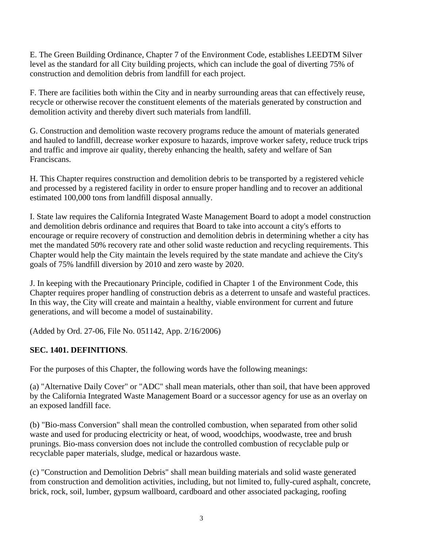E. The Green Building Ordinance, Chapter 7 of the Environment Code, establishes LEEDTM Silver level as the standard for all City building projects, which can include the goal of diverting 75% of construction and demolition debris from landfill for each project.

F. There are facilities both within the City and in nearby surrounding areas that can effectively reuse, recycle or otherwise recover the constituent elements of the materials generated by construction and demolition activity and thereby divert such materials from landfill.

G. Construction and demolition waste recovery programs reduce the amount of materials generated and hauled to landfill, decrease worker exposure to hazards, improve worker safety, reduce truck trips and traffic and improve air quality, thereby enhancing the health, safety and welfare of San Franciscans.

H. This Chapter requires construction and demolition debris to be transported by a registered vehicle and processed by a registered facility in order to ensure proper handling and to recover an additional estimated 100,000 tons from landfill disposal annually.

I. State law requires the California Integrated Waste Management Board to adopt a model construction and demolition debris ordinance and requires that Board to take into account a city's efforts to encourage or require recovery of construction and demolition debris in determining whether a city has met the mandated 50% recovery rate and other solid waste reduction and recycling requirements. This Chapter would help the City maintain the levels required by the state mandate and achieve the City's goals of 75% landfill diversion by 2010 and zero waste by 2020.

J. In keeping with the Precautionary Principle, codified in Chapter 1 of the Environment Code, this Chapter requires proper handling of construction debris as a deterrent to unsafe and wasteful practices. In this way, the City will create and maintain a healthy, viable environment for current and future generations, and will become a model of sustainability.

(Added by Ord. 27-06, File No. 051142, App. 2/16/2006)

# **SEC. 1401. DEFINITIONS**.

For the purposes of this Chapter, the following words have the following meanings:

(a) "Alternative Daily Cover" or "ADC" shall mean materials, other than soil, that have been approved by the California Integrated Waste Management Board or a successor agency for use as an overlay on an exposed landfill face.

(b) "Bio-mass Conversion" shall mean the controlled combustion, when separated from other solid waste and used for producing electricity or heat, of wood, woodchips, woodwaste, tree and brush prunings. Bio-mass conversion does not include the controlled combustion of recyclable pulp or recyclable paper materials, sludge, medical or hazardous waste.

(c) "Construction and Demolition Debris" shall mean building materials and solid waste generated from construction and demolition activities, including, but not limited to, fully-cured asphalt, concrete, brick, rock, soil, lumber, gypsum wallboard, cardboard and other associated packaging, roofing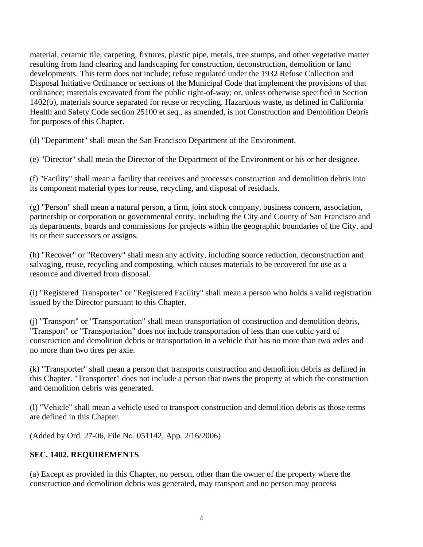material, ceramic tile, carpeting, fixtures, plastic pipe, metals, tree stumps, and other vegetative matter resulting from land clearing and landscaping for construction, deconstruction, demolition or land developments. This term does not include; refuse regulated under the 1932 Refuse Collection and Disposal Initiative Ordinance or sections of the Municipal Code that implement the provisions of that ordinance; materials excavated from the public right-of-way; or, unless otherwise specified in Section 1402(b), materials source separated for reuse or recycling. Hazardous waste, as defined in California Health and Safety Code section 25100 et seq., as amended, is not Construction and Demolition Debris for purposes of this Chapter.

(d) "Department" shall mean the San Francisco Department of the Environment.

(e) "Director" shall mean the Director of the Department of the Environment or his or her designee.

(f) "Facility" shall mean a facility that receives and processes construction and demolition debris into its component material types for reuse, recycling, and disposal of residuals.

(g) "Person" shall mean a natural person, a firm, joint stock company, business concern, association, partnership or corporation or governmental entity, including the City and County of San Francisco and its departments, boards and commissions for projects within the geographic boundaries of the City, and its or their successors or assigns.

(h) "Recover" or "Recovery" shall mean any activity, including source reduction, deconstruction and salvaging, reuse, recycling and composting, which causes materials to be recovered for use as a resource and diverted from disposal.

(i) "Registered Transporter" or "Registered Facility" shall mean a person who holds a valid registration issued by the Director pursuant to this Chapter.

(j) "Transport" or "Transportation" shall mean transportation of construction and demolition debris, "Transport" or "Transportation" does not include transportation of less than one cubic yard of construction and demolition debris or transportation in a vehicle that has no more than two axles and no more than two tires per axle.

(k) "Transporter" shall mean a person that transports construction and demolition debris as defined in this Chapter. "Transporter" does not include a person that owns the property at which the construction and demolition debris was generated.

(l) "Vehicle" shall mean a vehicle used to transport construction and demolition debris as those terms are defined in this Chapter.

(Added by Ord. 27-06, File No. 051142, App. 2/16/2006)

# **SEC. 1402. REQUIREMENTS**.

(a) Except as provided in this Chapter, no person, other than the owner of the property where the construction and demolition debris was generated, may transport and no person may process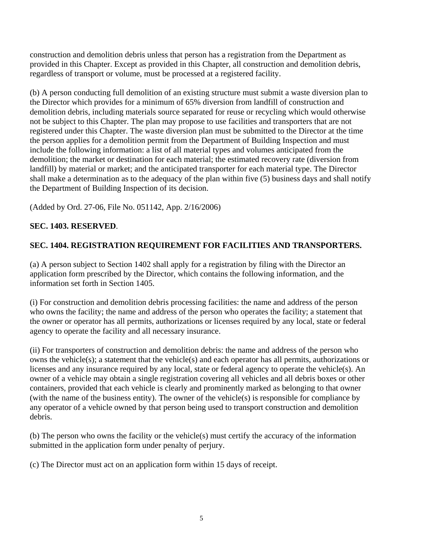construction and demolition debris unless that person has a registration from the Department as provided in this Chapter. Except as provided in this Chapter, all construction and demolition debris, regardless of transport or volume, must be processed at a registered facility.

(b) A person conducting full demolition of an existing structure must submit a waste diversion plan to the Director which provides for a minimum of 65% diversion from landfill of construction and demolition debris, including materials source separated for reuse or recycling which would otherwise not be subject to this Chapter. The plan may propose to use facilities and transporters that are not registered under this Chapter. The waste diversion plan must be submitted to the Director at the time the person applies for a demolition permit from the Department of Building Inspection and must include the following information: a list of all material types and volumes anticipated from the demolition; the market or destination for each material; the estimated recovery rate (diversion from landfill) by material or market; and the anticipated transporter for each material type. The Director shall make a determination as to the adequacy of the plan within five (5) business days and shall notify the Department of Building Inspection of its decision.

(Added by Ord. 27-06, File No. 051142, App. 2/16/2006)

# **SEC. 1403. RESERVED**.

# **SEC. 1404. REGISTRATION REQUIREMENT FOR FACILITIES AND TRANSPORTERS.**

(a) A person subject to Section 1402 shall apply for a registration by filing with the Director an application form prescribed by the Director, which contains the following information, and the information set forth in Section 1405.

(i) For construction and demolition debris processing facilities: the name and address of the person who owns the facility; the name and address of the person who operates the facility; a statement that the owner or operator has all permits, authorizations or licenses required by any local, state or federal agency to operate the facility and all necessary insurance.

(ii) For transporters of construction and demolition debris: the name and address of the person who owns the vehicle(s); a statement that the vehicle(s) and each operator has all permits, authorizations or licenses and any insurance required by any local, state or federal agency to operate the vehicle(s). An owner of a vehicle may obtain a single registration covering all vehicles and all debris boxes or other containers, provided that each vehicle is clearly and prominently marked as belonging to that owner (with the name of the business entity). The owner of the vehicle(s) is responsible for compliance by any operator of a vehicle owned by that person being used to transport construction and demolition debris.

(b) The person who owns the facility or the vehicle(s) must certify the accuracy of the information submitted in the application form under penalty of perjury.

(c) The Director must act on an application form within 15 days of receipt.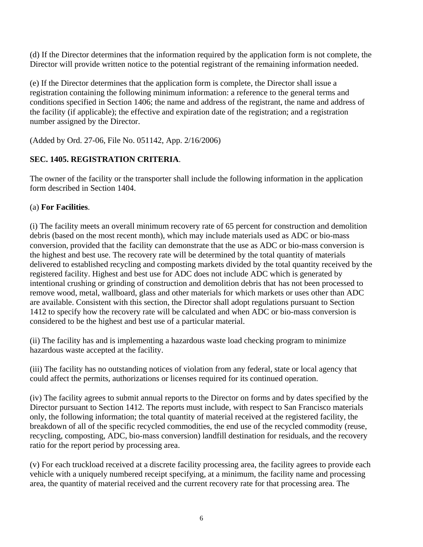(d) If the Director determines that the information required by the application form is not complete, the Director will provide written notice to the potential registrant of the remaining information needed.

(e) If the Director determines that the application form is complete, the Director shall issue a registration containing the following minimum information: a reference to the general terms and conditions specified in Section 1406; the name and address of the registrant, the name and address of the facility (if applicable); the effective and expiration date of the registration; and a registration number assigned by the Director.

(Added by Ord. 27-06, File No. 051142, App. 2/16/2006)

# **SEC. 1405. REGISTRATION CRITERIA**.

The owner of the facility or the transporter shall include the following information in the application form described in Section 1404.

## (a) **For Facilities**.

(i) The facility meets an overall minimum recovery rate of 65 percent for construction and demolition debris (based on the most recent month), which may include materials used as ADC or bio-mass conversion, provided that the facility can demonstrate that the use as ADC or bio-mass conversion is the highest and best use. The recovery rate will be determined by the total quantity of materials delivered to established recycling and composting markets divided by the total quantity received by the registered facility. Highest and best use for ADC does not include ADC which is generated by intentional crushing or grinding of construction and demolition debris that has not been processed to remove wood, metal, wallboard, glass and other materials for which markets or uses other than ADC are available. Consistent with this section, the Director shall adopt regulations pursuant to Section 1412 to specify how the recovery rate will be calculated and when ADC or bio-mass conversion is considered to be the highest and best use of a particular material.

(ii) The facility has and is implementing a hazardous waste load checking program to minimize hazardous waste accepted at the facility.

(iii) The facility has no outstanding notices of violation from any federal, state or local agency that could affect the permits, authorizations or licenses required for its continued operation.

(iv) The facility agrees to submit annual reports to the Director on forms and by dates specified by the Director pursuant to Section 1412. The reports must include, with respect to San Francisco materials only, the following information; the total quantity of material received at the registered facility, the breakdown of all of the specific recycled commodities, the end use of the recycled commodity (reuse, recycling, composting, ADC, bio-mass conversion) landfill destination for residuals, and the recovery ratio for the report period by processing area.

(v) For each truckload received at a discrete facility processing area, the facility agrees to provide each vehicle with a uniquely numbered receipt specifying, at a minimum, the facility name and processing area, the quantity of material received and the current recovery rate for that processing area. The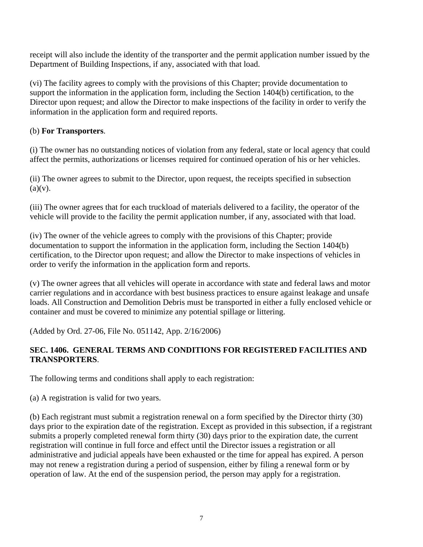receipt will also include the identity of the transporter and the permit application number issued by the Department of Building Inspections, if any, associated with that load.

(vi) The facility agrees to comply with the provisions of this Chapter; provide documentation to support the information in the application form, including the Section 1404(b) certification, to the Director upon request; and allow the Director to make inspections of the facility in order to verify the information in the application form and required reports.

## (b) **For Transporters**.

(i) The owner has no outstanding notices of violation from any federal, state or local agency that could affect the permits, authorizations or licenses required for continued operation of his or her vehicles.

(ii) The owner agrees to submit to the Director, upon request, the receipts specified in subsection  $(a)(v)$ .

(iii) The owner agrees that for each truckload of materials delivered to a facility, the operator of the vehicle will provide to the facility the permit application number, if any, associated with that load.

(iv) The owner of the vehicle agrees to comply with the provisions of this Chapter; provide documentation to support the information in the application form, including the Section 1404(b) certification, to the Director upon request; and allow the Director to make inspections of vehicles in order to verify the information in the application form and reports.

(v) The owner agrees that all vehicles will operate in accordance with state and federal laws and motor carrier regulations and in accordance with best business practices to ensure against leakage and unsafe loads. All Construction and Demolition Debris must be transported in either a fully enclosed vehicle or container and must be covered to minimize any potential spillage or littering.

(Added by Ord. 27-06, File No. 051142, App. 2/16/2006)

## **SEC. 1406. GENERAL TERMS AND CONDITIONS FOR REGISTERED FACILITIES AND TRANSPORTERS**.

The following terms and conditions shall apply to each registration:

(a) A registration is valid for two years.

(b) Each registrant must submit a registration renewal on a form specified by the Director thirty (30) days prior to the expiration date of the registration. Except as provided in this subsection, if a registrant submits a properly completed renewal form thirty (30) days prior to the expiration date, the current registration will continue in full force and effect until the Director issues a registration or all administrative and judicial appeals have been exhausted or the time for appeal has expired. A person may not renew a registration during a period of suspension, either by filing a renewal form or by operation of law. At the end of the suspension period, the person may apply for a registration.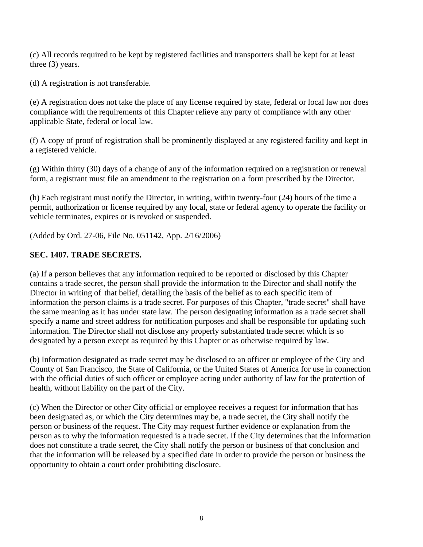(c) All records required to be kept by registered facilities and transporters shall be kept for at least three (3) years.

(d) A registration is not transferable.

(e) A registration does not take the place of any license required by state, federal or local law nor does compliance with the requirements of this Chapter relieve any party of compliance with any other applicable State, federal or local law.

(f) A copy of proof of registration shall be prominently displayed at any registered facility and kept in a registered vehicle.

(g) Within thirty (30) days of a change of any of the information required on a registration or renewal form, a registrant must file an amendment to the registration on a form prescribed by the Director.

(h) Each registrant must notify the Director, in writing, within twenty-four (24) hours of the time a permit, authorization or license required by any local, state or federal agency to operate the facility or vehicle terminates, expires or is revoked or suspended.

(Added by Ord. 27-06, File No. 051142, App. 2/16/2006)

# **SEC. 1407. TRADE SECRETS.**

(a) If a person believes that any information required to be reported or disclosed by this Chapter contains a trade secret, the person shall provide the information to the Director and shall notify the Director in writing of that belief, detailing the basis of the belief as to each specific item of information the person claims is a trade secret. For purposes of this Chapter, "trade secret" shall have the same meaning as it has under state law. The person designating information as a trade secret shall specify a name and street address for notification purposes and shall be responsible for updating such information. The Director shall not disclose any properly substantiated trade secret which is so designated by a person except as required by this Chapter or as otherwise required by law.

(b) Information designated as trade secret may be disclosed to an officer or employee of the City and County of San Francisco, the State of California, or the United States of America for use in connection with the official duties of such officer or employee acting under authority of law for the protection of health, without liability on the part of the City.

(c) When the Director or other City official or employee receives a request for information that has been designated as, or which the City determines may be, a trade secret, the City shall notify the person or business of the request. The City may request further evidence or explanation from the person as to why the information requested is a trade secret. If the City determines that the information does not constitute a trade secret, the City shall notify the person or business of that conclusion and that the information will be released by a specified date in order to provide the person or business the opportunity to obtain a court order prohibiting disclosure.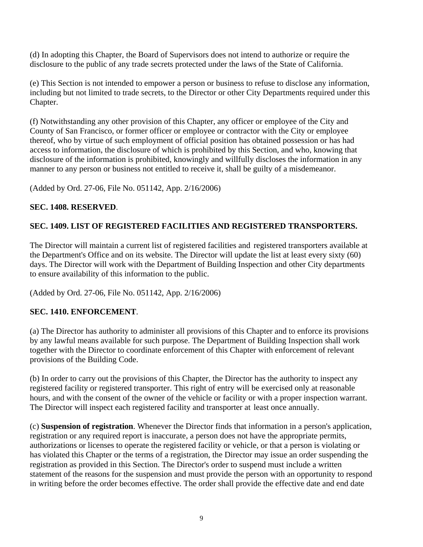(d) In adopting this Chapter, the Board of Supervisors does not intend to authorize or require the disclosure to the public of any trade secrets protected under the laws of the State of California.

(e) This Section is not intended to empower a person or business to refuse to disclose any information, including but not limited to trade secrets, to the Director or other City Departments required under this Chapter.

(f) Notwithstanding any other provision of this Chapter, any officer or employee of the City and County of San Francisco, or former officer or employee or contractor with the City or employee thereof, who by virtue of such employment of official position has obtained possession or has had access to information, the disclosure of which is prohibited by this Section, and who, knowing that disclosure of the information is prohibited, knowingly and willfully discloses the information in any manner to any person or business not entitled to receive it, shall be guilty of a misdemeanor.

(Added by Ord. 27-06, File No. 051142, App. 2/16/2006)

## **SEC. 1408. RESERVED**.

# **SEC. 1409. LIST OF REGISTERED FACILITIES AND REGISTERED TRANSPORTERS.**

The Director will maintain a current list of registered facilities and registered transporters available at the Department's Office and on its website. The Director will update the list at least every sixty (60) days. The Director will work with the Department of Building Inspection and other City departments to ensure availability of this information to the public.

(Added by Ord. 27-06, File No. 051142, App. 2/16/2006)

#### **SEC. 1410. ENFORCEMENT**.

(a) The Director has authority to administer all provisions of this Chapter and to enforce its provisions by any lawful means available for such purpose. The Department of Building Inspection shall work together with the Director to coordinate enforcement of this Chapter with enforcement of relevant provisions of the Building Code.

(b) In order to carry out the provisions of this Chapter, the Director has the authority to inspect any registered facility or registered transporter. This right of entry will be exercised only at reasonable hours, and with the consent of the owner of the vehicle or facility or with a proper inspection warrant. The Director will inspect each registered facility and transporter at least once annually.

(c) **Suspension of registration**. Whenever the Director finds that information in a person's application, registration or any required report is inaccurate, a person does not have the appropriate permits, authorizations or licenses to operate the registered facility or vehicle, or that a person is violating or has violated this Chapter or the terms of a registration, the Director may issue an order suspending the registration as provided in this Section. The Director's order to suspend must include a written statement of the reasons for the suspension and must provide the person with an opportunity to respond in writing before the order becomes effective. The order shall provide the effective date and end date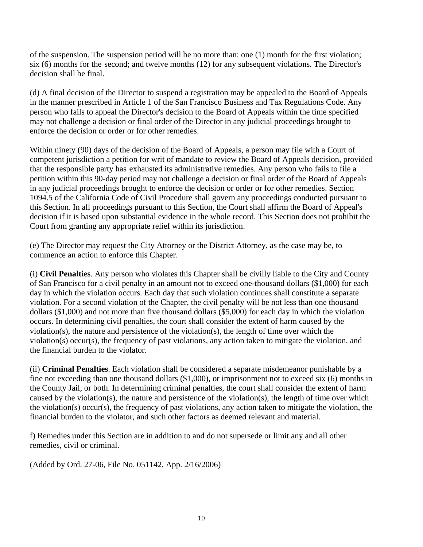of the suspension. The suspension period will be no more than: one (1) month for the first violation; six (6) months for the second; and twelve months (12) for any subsequent violations. The Director's decision shall be final.

(d) A final decision of the Director to suspend a registration may be appealed to the Board of Appeals in the manner prescribed in Article 1 of the San Francisco Business and Tax Regulations Code. Any person who fails to appeal the Director's decision to the Board of Appeals within the time specified may not challenge a decision or final order of the Director in any judicial proceedings brought to enforce the decision or order or for other remedies.

Within ninety (90) days of the decision of the Board of Appeals, a person may file with a Court of competent jurisdiction a petition for writ of mandate to review the Board of Appeals decision, provided that the responsible party has exhausted its administrative remedies. Any person who fails to file a petition within this 90-day period may not challenge a decision or final order of the Board of Appeals in any judicial proceedings brought to enforce the decision or order or for other remedies. Section 1094.5 of the California Code of Civil Procedure shall govern any proceedings conducted pursuant to this Section. In all proceedings pursuant to this Section, the Court shall affirm the Board of Appeal's decision if it is based upon substantial evidence in the whole record. This Section does not prohibit the Court from granting any appropriate relief within its jurisdiction.

(e) The Director may request the City Attorney or the District Attorney, as the case may be, to commence an action to enforce this Chapter.

(i) **Civil Penalties**. Any person who violates this Chapter shall be civilly liable to the City and County of San Francisco for a civil penalty in an amount not to exceed one-thousand dollars (\$1,000) for each day in which the violation occurs. Each day that such violation continues shall constitute a separate violation. For a second violation of the Chapter, the civil penalty will be not less than one thousand dollars (\$1,000) and not more than five thousand dollars (\$5,000) for each day in which the violation occurs. In determining civil penalties, the court shall consider the extent of harm caused by the violation(s), the nature and persistence of the violation(s), the length of time over which the violation(s) occur(s), the frequency of past violations, any action taken to mitigate the violation, and the financial burden to the violator.

(ii) **Criminal Penalties**. Each violation shall be considered a separate misdemeanor punishable by a fine not exceeding than one thousand dollars (\$1,000), or imprisonment not to exceed six (6) months in the County Jail, or both. In determining criminal penalties, the court shall consider the extent of harm caused by the violation(s), the nature and persistence of the violation(s), the length of time over which the violation(s) occur(s), the frequency of past violations, any action taken to mitigate the violation, the financial burden to the violator, and such other factors as deemed relevant and material.

f) Remedies under this Section are in addition to and do not supersede or limit any and all other remedies, civil or criminal.

(Added by Ord. 27-06, File No. 051142, App. 2/16/2006)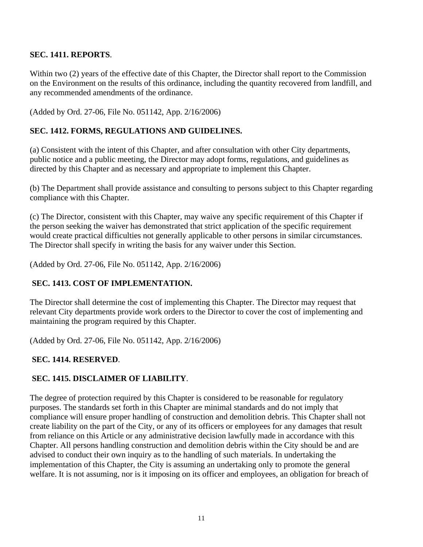## **SEC. 1411. REPORTS**.

Within two (2) years of the effective date of this Chapter, the Director shall report to the Commission on the Environment on the results of this ordinance, including the quantity recovered from landfill, and any recommended amendments of the ordinance.

(Added by Ord. 27-06, File No. 051142, App. 2/16/2006)

## **SEC. 1412. FORMS, REGULATIONS AND GUIDELINES.**

(a) Consistent with the intent of this Chapter, and after consultation with other City departments, public notice and a public meeting, the Director may adopt forms, regulations, and guidelines as directed by this Chapter and as necessary and appropriate to implement this Chapter.

(b) The Department shall provide assistance and consulting to persons subject to this Chapter regarding compliance with this Chapter.

(c) The Director, consistent with this Chapter, may waive any specific requirement of this Chapter if the person seeking the waiver has demonstrated that strict application of the specific requirement would create practical difficulties not generally applicable to other persons in similar circumstances. The Director shall specify in writing the basis for any waiver under this Section.

(Added by Ord. 27-06, File No. 051142, App. 2/16/2006)

#### **SEC. 1413. COST OF IMPLEMENTATION.**

The Director shall determine the cost of implementing this Chapter. The Director may request that relevant City departments provide work orders to the Director to cover the cost of implementing and maintaining the program required by this Chapter.

(Added by Ord. 27-06, File No. 051142, App. 2/16/2006)

# **SEC. 1414. RESERVED**.

#### **SEC. 1415. DISCLAIMER OF LIABILITY**.

The degree of protection required by this Chapter is considered to be reasonable for regulatory purposes. The standards set forth in this Chapter are minimal standards and do not imply that compliance will ensure proper handling of construction and demolition debris. This Chapter shall not create liability on the part of the City, or any of its officers or employees for any damages that result from reliance on this Article or any administrative decision lawfully made in accordance with this Chapter. All persons handling construction and demolition debris within the City should be and are advised to conduct their own inquiry as to the handling of such materials. In undertaking the implementation of this Chapter, the City is assuming an undertaking only to promote the general welfare. It is not assuming, nor is it imposing on its officer and employees, an obligation for breach of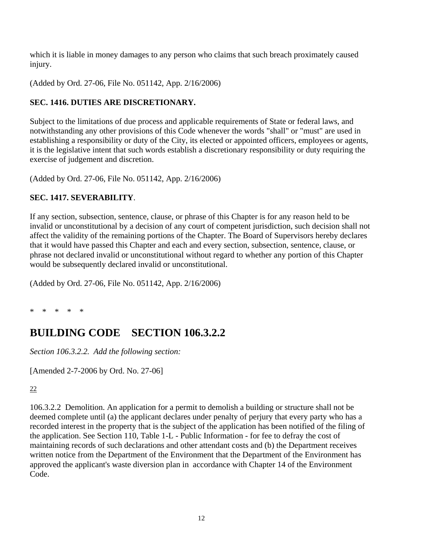which it is liable in money damages to any person who claims that such breach proximately caused injury.

(Added by Ord. 27-06, File No. 051142, App. 2/16/2006)

# **SEC. 1416. DUTIES ARE DISCRETIONARY.**

Subject to the limitations of due process and applicable requirements of State or federal laws, and notwithstanding any other provisions of this Code whenever the words "shall" or "must" are used in establishing a responsibility or duty of the City, its elected or appointed officers, employees or agents, it is the legislative intent that such words establish a discretionary responsibility or duty requiring the exercise of judgement and discretion.

(Added by Ord. 27-06, File No. 051142, App. 2/16/2006)

# **SEC. 1417. SEVERABILITY**.

If any section, subsection, sentence, clause, or phrase of this Chapter is for any reason held to be invalid or unconstitutional by a decision of any court of competent jurisdiction, such decision shall not affect the validity of the remaining portions of the Chapter. The Board of Supervisors hereby declares that it would have passed this Chapter and each and every section, subsection, sentence, clause, or phrase not declared invalid or unconstitutional without regard to whether any portion of this Chapter would be subsequently declared invalid or unconstitutional.

(Added by Ord. 27-06, File No. 051142, App. 2/16/2006)

\* \* \* \* \*

# **BUILDING CODE SECTION 106.3.2.2**

*Section 106.3.2.2. Add the following section:* 

[Amended 2-7-2006 by Ord. No. 27-06]

22

106.3.2.2 Demolition. An application for a permit to demolish a building or structure shall not be deemed complete until (a) the applicant declares under penalty of perjury that every party who has a recorded interest in the property that is the subject of the application has been notified of the filing of the application. See Section 110, Table 1-L - Public Information - for fee to defray the cost of maintaining records of such declarations and other attendant costs and (b) the Department receives written notice from the Department of the Environment that the Department of the Environment has approved the applicant's waste diversion plan in accordance with Chapter 14 of the Environment Code.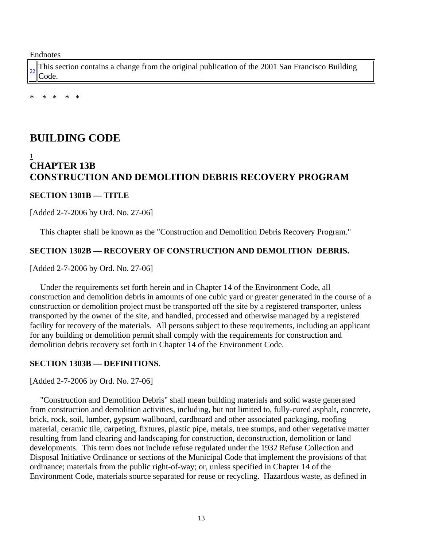Endnotes

[22](http://www.amlegal.com/nxt/gateway.dll/California/sfbuilding/buildingcode2001edition/volume1/#text1) This section contains a change from the original publication of the 2001 San Francisco Building Code.

\* \* \* \* \*

# **BUILDING CODE**

## 1 **CHAPTER 13B CONSTRUCTION AND DEMOLITION DEBRIS RECOVERY PROGRAM**

#### **SECTION 1301B — TITLE**

[Added 2-7-2006 by Ord. No. 27-06]

This chapter shall be known as the "Construction and Demolition Debris Recovery Program."

#### **SECTION 1302B — RECOVERY OF CONSTRUCTION AND DEMOLITION DEBRIS.**

[Added 2-7-2006 by Ord. No. 27-06]

 Under the requirements set forth herein and in Chapter 14 of the Environment Code, all construction and demolition debris in amounts of one cubic yard or greater generated in the course of a construction or demolition project must be transported off the site by a registered transporter, unless transported by the owner of the site, and handled, processed and otherwise managed by a registered facility for recovery of the materials. All persons subject to these requirements, including an applicant for any building or demolition permit shall comply with the requirements for construction and demolition debris recovery set forth in Chapter 14 of the Environment Code.

#### **SECTION 1303B — DEFINITIONS**.

[Added 2-7-2006 by Ord. No. 27-06]

 "Construction and Demolition Debris" shall mean building materials and solid waste generated from construction and demolition activities, including, but not limited to, fully-cured asphalt, concrete, brick, rock, soil, lumber, gypsum wallboard, cardboard and other associated packaging, roofing material, ceramic tile, carpeting, fixtures, plastic pipe, metals, tree stumps, and other vegetative matter resulting from land clearing and landscaping for construction, deconstruction, demolition or land developments. This term does not include refuse regulated under the 1932 Refuse Collection and Disposal Initiative Ordinance or sections of the Municipal Code that implement the provisions of that ordinance; materials from the public right-of-way; or, unless specified in Chapter 14 of the Environment Code, materials source separated for reuse or recycling. Hazardous waste, as defined in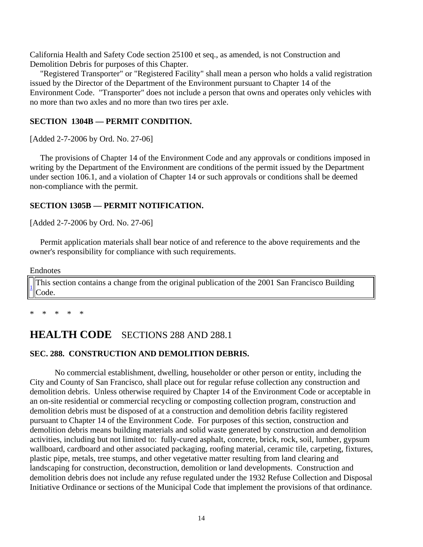California Health and Safety Code section 25100 et seq., as amended, is not Construction and Demolition Debris for purposes of this Chapter.

 "Registered Transporter" or "Registered Facility" shall mean a person who holds a valid registration issued by the Director of the Department of the Environment pursuant to Chapter 14 of the Environment Code. "Transporter" does not include a person that owns and operates only vehicles with no more than two axles and no more than two tires per axle.

#### **SECTION 1304B — PERMIT CONDITION.**

[Added 2-7-2006 by Ord. No. 27-06]

 The provisions of Chapter 14 of the Environment Code and any approvals or conditions imposed in writing by the Department of the Environment are conditions of the permit issued by the Department under section 106.1, and a violation of Chapter 14 or such approvals or conditions shall be deemed non-compliance with the permit.

#### **SECTION 1305B — PERMIT NOTIFICATION.**

[Added 2-7-2006 by Ord. No. 27-06]

 Permit application materials shall bear notice of and reference to the above requirements and the owner's responsibility for compliance with such requirements.

#### Endnotes

[1](http://www.amlegal.com/nxt/gateway.dll/California/sfbuilding/buildingcode2001edition/volume1/#text1) This section contains a change from the original publication of the 2001 San Francisco Building Code.

\* \* \* \* \*

# **HEALTH CODE** SECTIONS 288 AND 288.1

#### **SEC. 288. CONSTRUCTION AND DEMOLITION DEBRIS.**

No commercial establishment, dwelling, householder or other person or entity, including the City and County of San Francisco, shall place out for regular refuse collection any construction and demolition debris. Unless otherwise required by Chapter 14 of the Environment Code or acceptable in an on-site residential or commercial recycling or composting collection program, construction and demolition debris must be disposed of at a construction and demolition debris facility registered pursuant to Chapter 14 of the Environment Code. For purposes of this section, construction and demolition debris means building materials and solid waste generated by construction and demolition activities, including but not limited to: fully-cured asphalt, concrete, brick, rock, soil, lumber, gypsum wallboard, cardboard and other associated packaging, roofing material, ceramic tile, carpeting, fixtures, plastic pipe, metals, tree stumps, and other vegetative matter resulting from land clearing and landscaping for construction, deconstruction, demolition or land developments. Construction and demolition debris does not include any refuse regulated under the 1932 Refuse Collection and Disposal Initiative Ordinance or sections of the Municipal Code that implement the provisions of that ordinance.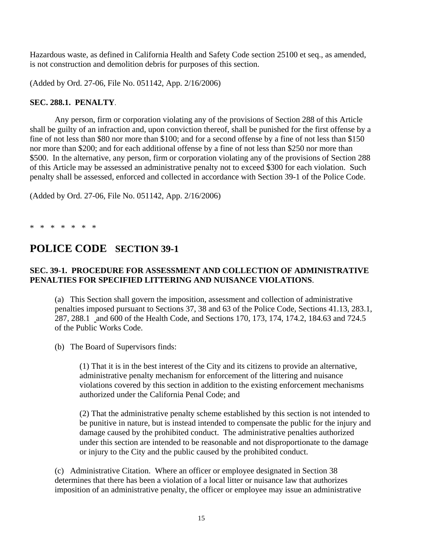Hazardous waste, as defined in California Health and Safety Code section 25100 et seq., as amended, is not construction and demolition debris for purposes of this section.

(Added by Ord. 27-06, File No. 051142, App. 2/16/2006)

#### **SEC. 288.1. PENALTY**.

Any person, firm or corporation violating any of the provisions of Section 288 of this Article shall be guilty of an infraction and, upon conviction thereof, shall be punished for the first offense by a fine of not less than \$80 nor more than \$100; and for a second offense by a fine of not less than \$150 nor more than \$200; and for each additional offense by a fine of not less than \$250 nor more than \$500. In the alternative, any person, firm or corporation violating any of the provisions of Section 288 of this Article may be assessed an administrative penalty not to exceed \$300 for each violation. Such penalty shall be assessed, enforced and collected in accordance with Section 39-1 of the Police Code.

(Added by Ord. 27-06, File No. 051142, App. 2/16/2006)

\* \* \* \* \* \* \*

# **POLICE CODE SECTION 39-1**

#### **SEC. 39-1. PROCEDURE FOR ASSESSMENT AND COLLECTION OF ADMINISTRATIVE PENALTIES FOR SPECIFIED LITTERING AND NUISANCE VIOLATIONS**.

(a) This Section shall govern the imposition, assessment and collection of administrative penalties imposed pursuant to Sections 37, 38 and 63 of the Police Code, Sections 41.13, 283.1, 287, 288.1 and 600 of the Health Code, and Sections 170, 173, 174, 174.2, 184.63 and 724.5 of the Public Works Code.

(b) The Board of Supervisors finds:

(1) That it is in the best interest of the City and its citizens to provide an alternative, administrative penalty mechanism for enforcement of the littering and nuisance violations covered by this section in addition to the existing enforcement mechanisms authorized under the California Penal Code; and

(2) That the administrative penalty scheme established by this section is not intended to be punitive in nature, but is instead intended to compensate the public for the injury and damage caused by the prohibited conduct. The administrative penalties authorized under this section are intended to be reasonable and not disproportionate to the damage or injury to the City and the public caused by the prohibited conduct.

(c) Administrative Citation. Where an officer or employee designated in Section 38 determines that there has been a violation of a local litter or nuisance law that authorizes imposition of an administrative penalty, the officer or employee may issue an administrative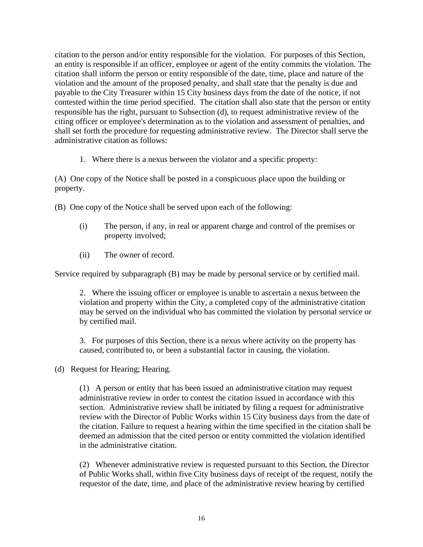citation to the person and/or entity responsible for the violation. For purposes of this Section, an entity is responsible if an officer, employee or agent of the entity commits the violation. The citation shall inform the person or entity responsible of the date, time, place and nature of the violation and the amount of the proposed penalty, and shall state that the penalty is due and payable to the City Treasurer within 15 City business days from the date of the notice, if not contested within the time period specified. The citation shall also state that the person or entity responsible has the right, pursuant to Subsection (d), to request administrative review of the citing officer or employee's determination as to the violation and assessment of penalties, and shall set forth the procedure for requesting administrative review. The Director shall serve the administrative citation as follows:

1. Where there is a nexus between the violator and a specific property:

(A) One copy of the Notice shall be posted in a conspicuous place upon the building or property.

- (B) One copy of the Notice shall be served upon each of the following:
	- (i) The person, if any, in real or apparent charge and control of the premises or property involved;
	- (ii) The owner of record.

Service required by subparagraph (B) may be made by personal service or by certified mail.

2. Where the issuing officer or employee is unable to ascertain a nexus between the violation and property within the City, a completed copy of the administrative citation may be served on the individual who has committed the violation by personal service or by certified mail.

3. For purposes of this Section, there is a nexus where activity on the property has caused, contributed to, or been a substantial factor in causing, the violation.

(d) Request for Hearing; Hearing.

(1) A person or entity that has been issued an administrative citation may request administrative review in order to contest the citation issued in accordance with this section. Administrative review shall be initiated by filing a request for administrative review with the Director of Public Works within 15 City business days from the date of the citation. Failure to request a hearing within the time specified in the citation shall be deemed an admission that the cited person or entity committed the violation identified in the administrative citation.

(2) Whenever administrative review is requested pursuant to this Section, the Director of Public Works shall, within five City business days of receipt of the request, notify the requestor of the date, time, and place of the administrative review hearing by certified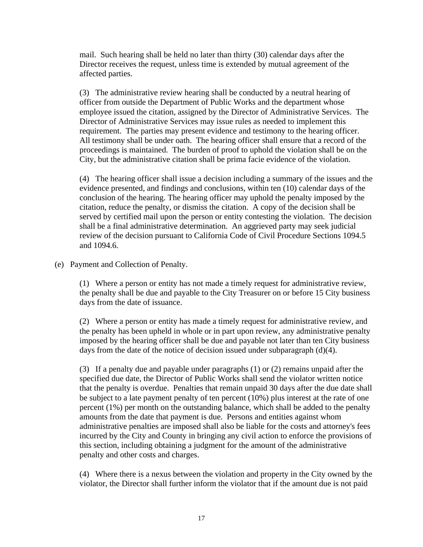mail. Such hearing shall be held no later than thirty (30) calendar days after the Director receives the request, unless time is extended by mutual agreement of the affected parties.

(3) The administrative review hearing shall be conducted by a neutral hearing of officer from outside the Department of Public Works and the department whose employee issued the citation, assigned by the Director of Administrative Services. The Director of Administrative Services may issue rules as needed to implement this requirement. The parties may present evidence and testimony to the hearing officer. All testimony shall be under oath. The hearing officer shall ensure that a record of the proceedings is maintained. The burden of proof to uphold the violation shall be on the City, but the administrative citation shall be prima facie evidence of the violation.

(4) The hearing officer shall issue a decision including a summary of the issues and the evidence presented, and findings and conclusions, within ten (10) calendar days of the conclusion of the hearing. The hearing officer may uphold the penalty imposed by the citation, reduce the penalty, or dismiss the citation. A copy of the decision shall be served by certified mail upon the person or entity contesting the violation. The decision shall be a final administrative determination. An aggrieved party may seek judicial review of the decision pursuant to California Code of Civil Procedure Sections 1094.5 and 1094.6.

(e) Payment and Collection of Penalty.

(1) Where a person or entity has not made a timely request for administrative review, the penalty shall be due and payable to the City Treasurer on or before 15 City business days from the date of issuance.

(2) Where a person or entity has made a timely request for administrative review, and the penalty has been upheld in whole or in part upon review, any administrative penalty imposed by the hearing officer shall be due and payable not later than ten City business days from the date of the notice of decision issued under subparagraph (d)(4).

(3) If a penalty due and payable under paragraphs (1) or (2) remains unpaid after the specified due date, the Director of Public Works shall send the violator written notice that the penalty is overdue. Penalties that remain unpaid 30 days after the due date shall be subject to a late payment penalty of ten percent (10%) plus interest at the rate of one percent (1%) per month on the outstanding balance, which shall be added to the penalty amounts from the date that payment is due. Persons and entities against whom administrative penalties are imposed shall also be liable for the costs and attorney's fees incurred by the City and County in bringing any civil action to enforce the provisions of this section, including obtaining a judgment for the amount of the administrative penalty and other costs and charges.

(4) Where there is a nexus between the violation and property in the City owned by the violator, the Director shall further inform the violator that if the amount due is not paid